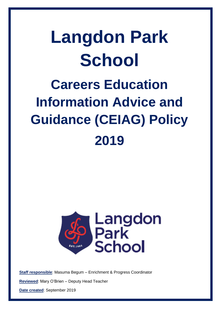# **Langdon Park School Careers Education Information Advice and Guidance (CEIAG) Policy 2019**



**Staff responsible**: Masuma Begum – Enrichment & Progress Coordinator

**Reviewed**: Mary O'Brien – Deputy Head Teacher

**Date created**: September 2019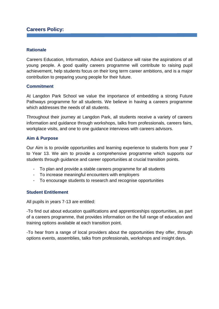# **Careers Policy:**

#### **Rationale**

Careers Education, Information, Advice and Guidance will raise the aspirations of all young people. A good quality careers programme will contribute to raising pupil achievement, help students focus on their long term career ambitions, and is a major contribution to preparing young people for their future.

#### **Commitment**

At Langdon Park School we value the importance of embedding a strong Future Pathways programme for all students. We believe in having a careers programme which addresses the needs of all students.

Throughout their journey at Langdon Park, all students receive a variety of careers information and guidance through workshops, talks from professionals, careers fairs, workplace visits, and one to one guidance interviews with careers advisors.

#### **Aim & Purpose**

Our Aim is to provide opportunities and learning experience to students from year 7 to Year 13. We aim to provide a comprehensive programme which supports our students through guidance and career opportunities at crucial transition points.

- To plan and provide a stable careers programme for all students
- To increase meaningful encounters with employers
- To encourage students to research and recognise opportunities

#### **Student Entitlement**

All pupils in years 7-13 are entitled:

-To find out about education qualifications and apprenticeships opportunities, as part of a careers programme, that provides information on the full range of education and training options available at each transition point.

-To hear from a range of local providers about the opportunities they offer, through options events, assemblies, talks from professionals, workshops and insight days.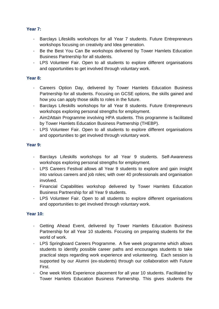# **Year 7:**

- Barclays Lifeskills workshops for all Year 7 students. Future Entrepreneurs workshops focusing on creativity and Idea generation.
- Be the Best You Can Be workshops delivered by Tower Hamlets Education Business Partnership for all students.
- LPS Volunteer Fair. Open to all students to explore different organisations and opportunities to get involved through voluntary work.

## **Year 8:**

- Careers Option Day, delivered by Tower Hamlets Education Business Partnership for all students. Focusing on GCSE options, the skills gained and how you can apply those skills to roles in the future.
- Barclays Lifeskills workshops for all Year 8 students. Future Entrepreneurs workshops exploring personal strengths for employment.
- Aim2Attain Programme involving HPA students. This programme is facilitated by Tower Hamlets Education Business Partnership (THEBP).
- LPS Volunteer Fair. Open to all students to explore different organisations and opportunities to get involved through voluntary work.

# **Year 9:**

- Barclays Lifeskills workshops for all Year 9 students. Self-Awareness workshops exploring personal strengths for employment.
- LPS Careers Festival allows all Year 9 students to explore and gain insight into various careers and job roles; with over 40 professionals and organisation involved.
- Financial Capabilities workshop delivered by Tower Hamlets Education Business Partnership for all Year 9 students.
- LPS Volunteer Fair. Open to all students to explore different organisations and opportunities to get involved through voluntary work.

## **Year 10:**

- Getting Ahead Event, delivered by Tower Hamlets Education Business Partnership for all Year 10 students. Focusing on preparing students for the world of work.
- LPS Springboard Careers Programme. A five week programme which allows students to identify possible career paths and encourages students to take practical steps regarding work experience and volunteering. Each session is supported by our Alumni (ex-students) through our collaboration with Future First.
- One week Work Experience placement for all year 10 students. Facilitated by Tower Hamlets Education Business Partnership. This gives students the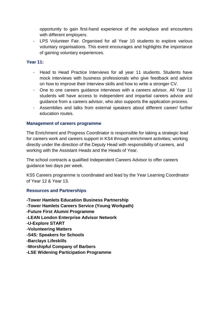opportunity to gain first-hand experience of the workplace and encounters with different employers.

- LPS Volunteer Fair. Organised for all Year 10 students to explore various voluntary organisations. This event encourages and highlights the importance of gaining voluntary experiences.

#### **Year 11:**

- Head to Head Practice Interviews for all year 11 students. Students have mock interviews with business professionals who give feedback and advice on how to improve their interview skills and how to write a stronger CV.
- One to one careers guidance interviews with a careers advisor. All Year 11 students will have access to independent and impartial careers advice and guidance from a careers advisor, who also supports the application process.
- Assemblies and talks from external speakers about different career/ further education routes.

## **Management of careers programme**

The Enrichment and Progress Coordinator is responsible for taking a strategic lead for careers work and careers support in KS4 through enrichment activities; working directly under the direction of the Deputy Head with responsibility of careers, and working with the Assistant Heads and the Heads of Year.

The school contracts a qualified Independent Careers Advisor to offer careers guidance two days per week.

KS5 Careers programme is coordinated and lead by the Year Learning Coordinator of Year 12 & Year 13.

## **Resources and Partnerships**

**-Tower Hamlets Education Business Partnership -Tower Hamlets Careers Service (Young Workpath) -Future First Alumni Programme -LEAN London Enterprise Advisor Network -U-Explore START -Volunteering Matters -S4S: Speakers for Schools -Barclays Lifeskills -Worshipful Company of Barbers -LSE Widening Participation Programme**